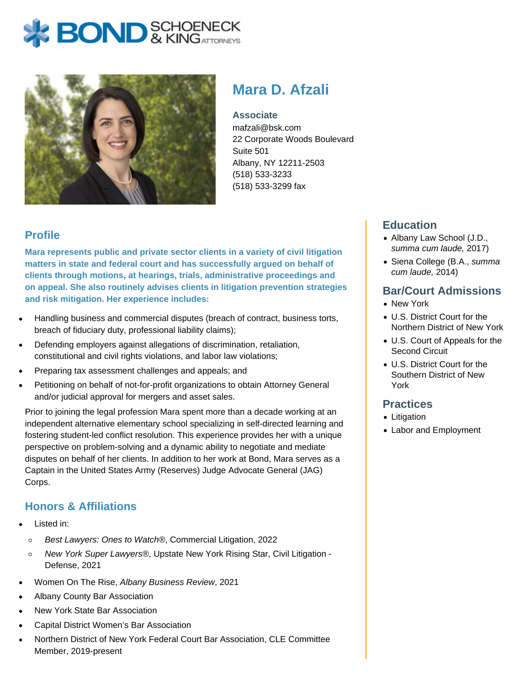



# **Mara D. Afzali**

**Associate** mafzali@bsk.com 22 Corporate Woods Boulevard Suite 501 Albany, NY 12211-2503 (518) 533-3233 (518) 533-3299 fax

## **Profile**

**Mara represents public and private sector clients in a variety of civil litigation matters in state and federal court and has successfully argued on behalf of clients through motions, at hearings, trials, administrative proceedings and on appeal. She also routinely advises clients in litigation prevention strategies and risk mitigation. Her experience includes:** 

- Handling business and commercial disputes (breach of contract, business torts, breach of fiduciary duty, professional liability claims);
- Defending employers against allegations of discrimination, retaliation, constitutional and civil rights violations, and labor law violations;
- Preparing tax assessment challenges and appeals; and
- Petitioning on behalf of not-for-profit organizations to obtain Attorney General and/or judicial approval for mergers and asset sales.

Prior to joining the legal profession Mara spent more than a decade working at an independent alternative elementary school specializing in self-directed learning and fostering student-led conflict resolution. This experience provides her with a unique perspective on problem-solving and a dynamic ability to negotiate and mediate disputes on behalf of her clients. In addition to her work at Bond, Mara serves as a Captain in the United States Army (Reserves) Judge Advocate General (JAG) Corps.

# **Honors & Affiliations**

- Listed in:
	- Best Lawyers: Ones to Watch®, Commercial Litigation, 2022  $\circ$
	- New York Super Lawyers®, Upstate New York Rising Star, Civil Litigation  $\circ$ Defense, 2021
- Women On The Rise, Albany Business Review, 2021
- Albany County Bar Association
- New York State Bar Association
- Capital District Women's Bar Association
- Northern District of New York Federal Court Bar Association, CLE Committee Member, 2019-present

## **Education**

- Albany Law School (J.D., summa cum laude, 2017)
- Siena College (B.A., summa cum laude, 2014)

### **Bar/Court Admissions**

- New York
- U.S. District Court for the Northern District of New York
- U.S. Court of Appeals for the Second Circuit
- U.S. District Court for the Southern District of New York

#### **Practices**

- Litigation
- Labor and Employment